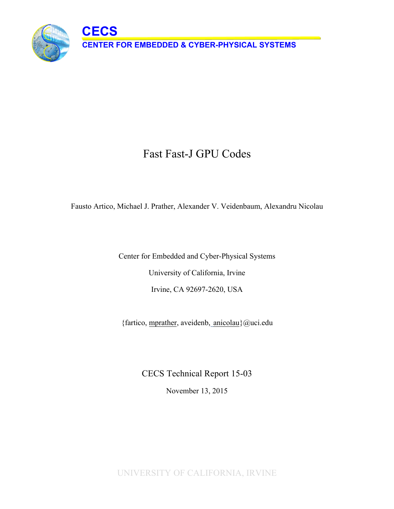

# Fast Fast-J GPU Codes

Fausto Artico, Michael J. Prather, Alexander V. Veidenbaum, Alexandru Nicolau

Center for Embedded and Cyber-Physical Systems University of California, Irvine Irvine, CA 92697-2620, USA

{fartico, mprather, aveidenb, anicolau}@uci.edu

CECS Technical Report 15-03

November 13, 2015

UNIVERSITY OF CALIFORNIA, IRVINE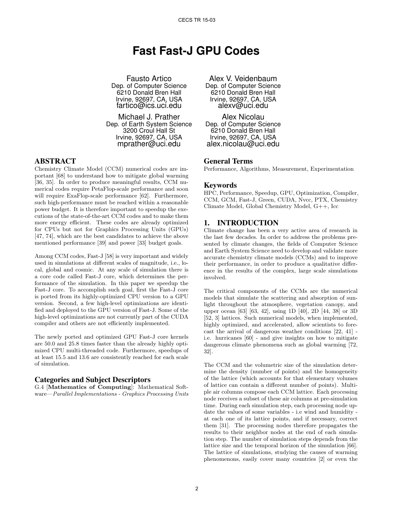## **Fast Fast-J GPU Codes**

Fausto Artico Dep. of Computer Science 6210 Donald Bren Hall Irvine, 92697, CA, USA fartico@ics.uci.edu

Michael J. Prather Dep. of Earth System Science 3200 Croul Hall St Irvine, 92697, CA, USA mprather@uci.edu

#### ABSTRACT

Chemistry Climate Model (CCM) numerical codes are important [68] to understand how to mitigate global warming [36, 35]. In order to produce meaningful results, CCM numerical codes require PetaFlop-scale performance and soon will require ExaFlop-scale performance [62]. Furthermore, such high-performance must be reached within a reasonable power budget. It is therefore important to speedup the executions of the state-of-the-art CCM codes and to make them more energy efficient. These codes are already optimized for CPUs but not for Graphics Processing Units (GPUs) [47, 74], which are the best candidates to achieve the above mentioned performance [39] and power [33] budget goals.

Among CCM codes, Fast-J [58] is very important and widely used in simulations at different scales of magnitude, i.e., local, global and cosmic. At any scale of simulation there is a core code called Fast-J core, which determines the performance of the simulation. In this paper we speedup the Fast-J core. To accomplish such goal, first the Fast-J core is ported from its highly-optimized CPU version to a GPU version. Second, a few high-level optimizations are identified and deployed to the GPU version of Fast-J. Some of the high-level optimizations are not currently part of the CUDA compiler and others are not efficiently implemented.

The newly ported and optimized GPU Fast-J core kernels are 50.0 and 25.8 times faster than the already highly optimized CPU multi-threaded code. Furthermore, speedups of at least 15.5 and 13.6 are consistently reached for each scale of simulation.

#### Categories and Subject Descriptors

G.4 [Mathematics of Computing]: Mathematical Software—Parallel Implementations - Graphics Processing Units

Alex V. Veidenbaum Dep. of Computer Science 6210 Donald Bren Hall Irvine, 92697, CA, USA alexv@uci.edu

Alex Nicolau Dep. of Computer Science 6210 Donald Bren Hall Irvine, 92697, CA, USA alex.nicolau@uci.edu

#### General Terms

Performance, Algorithms, Measurement, Experimentation

#### Keywords

HPC, Performance, Speedup, GPU, Optimization, Compiler, CCM, GCM, Fast-J, Green, CUDA, Nvcc, PTX, Chemistry Climate Model, Global Chemistry Model, G++, Icc

## 1. INTRODUCTION

Climate change has been a very active area of research in the last few decades. In order to address the problems presented by climate changes, the fields of Computer Science and Earth System Science need to develop and validate more accurate chemistry climate models (CCMs) and to improve their performance, in order to produce a qualitative difference in the results of the complex, large scale simulations involved.

The critical components of the CCMs are the numerical models that simulate the scattering and absorption of sunlight throughout the atmosphere, vegetation canopy, and upper ocean [63] [63, 42], using 1D [40], 2D [44, 38] or 3D [52, 3] lattices. Such numerical models, when implemented, highly optimized, and accelerated, allow scientists to forecast the arrival of dangerous weather conditions [22, 41] i.e. hurricanes [60] - and give insights on how to mitigate dangerous climate phenomena such as global warming [72, 32].

The CCM and the volumetric size of the simulation determine the density (number of points) and the homogeneity of the lattice (which accounts for that elementary volumes of lattice can contain a different number of points). Multiple air columns compose each CCM lattice. Each processing node receives a subset of these air columns at pre-simulation time. During each simulation step, each processing node update the values of some variables - i.e wind and humidity at each one of its lattice points, and if necessary, correct them [31]. The processing nodes therefore propagates the results to their neighbor nodes at the end of each simulation step. The number of simulation steps depends from the lattice size and the temporal horizon of the simulation [66]. The lattice of simulations, studying the causes of warming phenomenons, easily cover many countries [2] or even the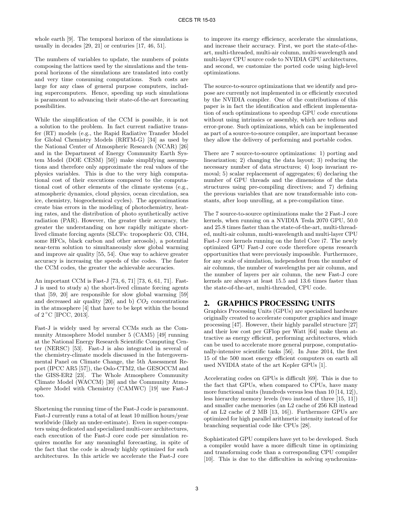whole earth [9]. The temporal horizon of the simulations is usually in decades [29, 21] or centuries [17, 46, 51].

The numbers of variables to update, the numbers of points composing the lattices used by the simulations and the temporal horizons of the simulations are translated into costly and very time consuming computations. Such costs are large for any class of general purpose computers, including supercomputers. Hence, speeding up such simulations is paramount to advancing their state-of-the-art forecasting possibilities.

While the simplification of the CCM is possible, it is not a solution to the problem. In fact current radiative transfer (RT) models (e.g., the Rapid Radiative Transfer Model for Global Chemistry Models (RRTM-G) [34] as used by the National Center of Atmospheric Research (NCAR) [26] and in the Department of Energy Community Earth System Model (DOE CESM) [50]) make simplifying assumptions and therefore only approximate the real values of the physics variables. This is due to the very high computational cost of their executions compared to the computational cost of other elements of the climate systems (e.g., atmospheric dynamics, cloud physics, ocean circulation, sea ice, chemistry, biogeochemical cycles). The approximations create bias errors in the modeling of photochemistry, heating rates, and the distribution of photo synthetically active radiation (PAR). However, the greater their accuracy, the greater the understanding on how rapidly mitigate shortlived climate forcing agents (SLCFs: tropospheric O3, CH4, some HFCs, black carbon and other aerosols), a potential near-term solution to simultaneously slow global warming and improve air quality [55, 54]. One way to achieve greater accuracy is increasing the speeds of the codes. The faster the CCM codes, the greater the achievable accuracies.

An important CCM is Fast-J [73, 6, 71] [73, 6, 61, 71]. Fast-J is used to study a) the short-lived climate forcing agents that [59, 20] are responsible for slow global warming [59] and decreased air quality [20], and b)  $CO<sub>2</sub>$  concentrations in the atmosphere [4] that have to be kept within the bound of 2 ◦C [IPCC, 2013].

Fast-J is widely used by several CCMs such as the Community Atmosphere Model number 5 (CAM5) [49] running at the National Energy Research Scientific Computing Center (NERSC) [53]. Fast-J is also integrated in several of the chemistry-climate models discussed in the Intergovernmental Panel on Climate Change, the 5th Assessment Report (IPCC AR5 [57]), the Oslo-CTM2, the GESOCCM and the GISS-ER2 [23]. The Whole Atmosphere Community Climate Model (WACCM) [30] and the Community Atmosphere Model with Chemistry (CAMWC) [19] use Fast-J too.

Shortening the running time of the Fast-J code is paramount. Fast-J currently runs a total of at least 10 million hours/year worldwide (likely an under-estimate). Even in super-computers using dedicated and specialized multi-core architectures, each execution of the Fast-J core code per simulation requires months for any meaningful forecasting, in spite of the fact that the code is already highly optimized for such architectures. In this article we accelerate the Fast-J core to improve its energy efficiency, accelerate the simulations, and increase their accuracy. First, we port the state-of-theart, multi-threaded, multi-air column, multi-wavelength and multi-layer CPU source code to NVIDIA GPU architectures, and second, we customize the ported code using high-level optimizations.

The source-to-source optimizations that we identify and propose are currently not implemented in or efficiently executed by the NVIDIA compiler. One of the contributions of this paper is in fact the identification and efficient implementation of such optimizations to speedup GPU code executions without using intrinsics or assembly, which are tedious and error-prone. Such optimizations, which can be implemented as part of a source-to-source compiler, are important because they allow the delivery of performing and portable codes.

There are 7 source-to-source optimizations: 1) porting and linearization; 2) changing the data layout; 3) reducing the necessary number of data structures; 4) loop invariant removal; 5) scalar replacement of aggregates; 6) declaring the number of GPU threads and the dimensions of the data structures using pre-compiling directives; and 7) defining the previous variables that are now transformable into constants, after loop unrolling, at a pre-compilation time.

The 7 source-to-source optimizations make the 2 Fast-J core kernels, when running on a NVIDIA Tesla 2070 GPU, 50.0 and 25.8 times faster than the state-of-the-art, multi-threaded, multi-air column, multi-wavelength and multi-layer CPU Fast-J core kernels running on the Intel Core i7. The newly optimized GPU Fast-J core code therefore opens research opportunities that were previously impossible. Furthermore, for any scale of simulation, independent from the number of air columns, the number of wavelengths per air column, and the number of layers per air column, the new Fast-J core kernels are always at least 15.5 and 13.6 times faster than the state-of-the-art, multi-threaded, CPU code.

## 2. GRAPHICS PROCESSING UNITS

Graphics Processing Units (GPUs) are specialized hardware originally created to accelerate computer graphics and image processing [47]. However, their highly parallel structure [27] and their low cost per GFlop per Watt [64] make them attractive as energy efficient, performing architectures, which can be used to accelerate more general purpose, computationally-intensive scientific tasks [56]. In June 2014, the first 15 of the 500 most energy efficient computers on earth all used NVIDIA state of the art Kepler GPUs [1].

Accelerating codes on GPUs is difficult [69]. This is due to the fact that GPUs, when compared to CPUs, have many more functional units (hundreds versus less than 10 [14, 12]), less hierarchy memory levels (two instead of three [15, 11]) and smaller cache memories (an L2 cache of 256 KB instead of an L2 cache of 2 MB [13, 16]). Furthermore GPUs are optimized for high parallel arithmetic intensity instead of for branching sequential code like CPUs [28].

Sophisticated GPU compilers have yet to be developed. Such a compiler would have a more difficult time in optimizing and transforming code than a corresponding CPU compiler [10]. This is due to the difficulties in solving synchroniza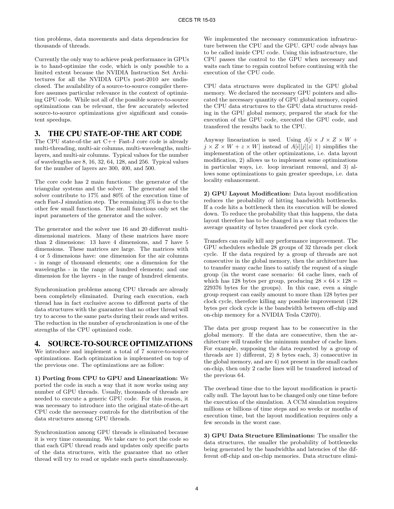tion problems, data movements and data dependencies for thousands of threads.

Currently the only way to achieve peak performance in GPUs is to hand-optimize the code, which is only possible to a limited extent because the NVIDIA Instruction Set Architectures for all the NVIDIA GPUs post-2010 are undisclosed. The availability of a source-to-source compiler therefore assumes particular relevance in the context of optimizing GPU code. While not all of the possible source-to-source optimizations can be relevant, the few accurately selected source-to-source optimizations give significant and consistent speedups.

#### 3. THE CPU STATE-OF-THE ART CODE

The CPU state-of-the art C++ Fast-J core code is already multi-threading, multi-air columns, multi-wavelengths, multilayers, and multi-air columns. Typical values for the number of wavelengths are 8, 16, 32, 64, 128, and 256. Typical values for the number of layers are 300, 400, and 500.

The core code has 2 main functions: the generator of the triangular systems and the solver. The generator and the solver contribute to 17% and 80% of the execution time of each Fast-J simulation step. The remaining 3% is due to the other few small functions. The small functions only set the input parameters of the generator and the solver.

The generator and the solver use 16 and 20 different multidimensional matrices. Many of these matrices have more than 2 dimensions: 13 have 4 dimensions, and 7 have 5 dimensions. These matrices are large. The matrices with 4 or 5 dimensions have: one dimension for the air columns - in range of thousand elements; one a dimension for the wavelengths - in the range of hundred elements; and one dimension for the layers - in the range of hundred elements.

Synchronization problems among CPU threads are already been completely eliminated. During each execution, each thread has in fact exclusive access to different parts of the data structures with the guarantee that no other thread will try to access to the same parts during their reads and writes. The reduction in the number of synchronization is one of the strengths of the CPU optimized code.

## 4. SOURCE-TO-SOURCE OPTIMIZATIONS

We introduce and implement a total of 7 source-to-source optimizations. Each optimization is implemented on top of the previous one. The optimizations are as follow:

1) Porting from CPU to GPU and Linearization: We ported the code in such a way that it now works using any number of GPU threads. Usually, thousands of threads are needed to execute a generic GPU code. For this reason, it was necessary to introduce into the original state-of-the-art CPU code the necessary controls for the distribution of the data structures among GPU threads.

Synchronization among GPU threads is eliminated because it is very time consuming. We take care to port the code so that each GPU thread reads and updates only specific parts of the data structures, with the guarantee that no other thread will try to read or update such parts simultaneously.

We implemented the necessary communication infrastructure between the CPU and the GPU. GPU code always has to be called inside CPU code. Using this infrastructure, the CPU passes the control to the GPU when necessary and waits each time to regain control before continuing with the execution of the CPU code.

CPU data structures were duplicated in the GPU global memory. We declared the necessary GPU pointers and allocated the necessary quantity of GPU global memory, copied the CPU data structures to the GPU data structures residing in the GPU global memory, prepared the stack for the execution of the GPU code, executed the GPU code, and transfered the results back to the CPU.

Anyway linearization is used. Using  $A[i \times J \times Z \times W +$  $j \times Z \times W + z \times W$  instead of  $A[i][j][z]$  1) simplifies the implementation of the other optimizations, i.e. data layout modification, 2) allows us to implement some optimizations in particular ways, i.e. loop invariant removal, and 3) allows some optimizations to gain greater speedups, i.e. data locality enhancement.

2) GPU Layout Modification: Data layout modification reduces the probability of hitting bandwidth bottlenecks. If a code hits a bottleneck then its execution will be slowed down. To reduce the probability that this happens, the data layout therefore has to be changed in a way that reduces the average quantity of bytes transfered per clock cycle.

Transfers can easily kill any performance improvement. The GPU schedulers schedule 28 groups of 32 threads per clock cycle. If the data required by a group of threads are not consecutive in the global memory, then the architecture has to transfer many cache lines to satisfy the request of a single group (in the worst case scenario: 64 cache lines, each of which has 128 bytes per group, producing  $28 \times 64 \times 128 =$ 229376 bytes for the groups). In this case, even a single group request can easily amount to more than 128 bytes per clock cycle, therefore killing any possible improvement (128 bytes per clock cycle is the bandwidth between off-chip and on-chip memory for a NVIDIA Tesla C2070).

The data per group request has to be consecutive in the global memory. If the data are consecutive, then the architecture will transfer the minimum number of cache lines. For example, supposing the data requested by a group of threads are 1) different, 2) 8 bytes each, 3) consecutive in the global memory, and are 4) not present in the small caches on-chip, then only 2 cache lines will be transfered instead of the previous 64.

The overhead time due to the layout modification is practically null. The layout has to be changed only one time before the execution of the simulation. A CCM simulation requires millions or billions of time steps and so weeks or months of execution time, but the layout modification requires only a few seconds in the worst case.

3) GPU Data Structure Eliminations: The smaller the data structures, the smaller the probability of bottlenecks being generated by the bandwidths and latencies of the different off-chip and on-chip memories. Data structure elimi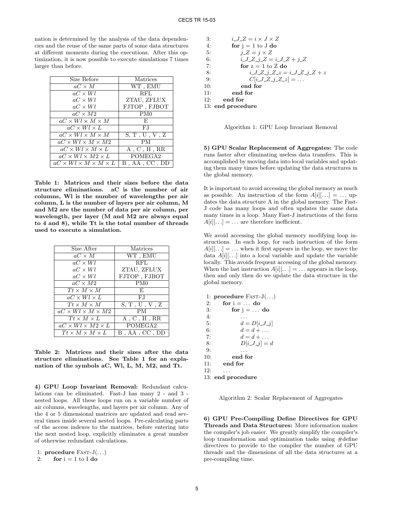nation is determined by the analysis of the data dependencies and the reuse of the same parts of some data structures at different moments during the executions. After this optimization, it is now possible to execute simulations 7 times larger than before.

| Size Before                               | Matrices          |
|-------------------------------------------|-------------------|
| $aC \times M$                             | WT, EMU           |
| $aC \times Wl$                            | <b>RFL</b>        |
| $aC \times Wl$                            | ZTAU, ZFLUX       |
| $aC \times Wl$                            | $FJTOP$ , $FJBOT$ |
| $aC \times M2$                            | PM0               |
| $aC \times Wl \times M \times M$          | E,                |
| $aC \times Wl \times L$                   | F.I               |
| $aC \times Wl \times M \times M$          | S, T, U, V, Z     |
| $aC \times Wl \times M \times M2$         | <b>PM</b>         |
| $aC \times Wl \times M \times L$          | A, C, H, RR       |
| $aC \times Wl \times M2 \times L$         | POMEGA2           |
| $aC \times Wl \times M \times M \times L$ | $B$ , AA, CC, DD  |

Table 1: Matrices and their sizes before the data structure eliminations. aC is the number of air columns, Wl is the number of wavelengths per air column, L is the number of layers per air column, M and M2 are the number of data per air column, per wavelength, per layer (M and M2 are always equal to 4 and 8), while Tt is the total number of threads used to execute a simulation.

| Size After                        | Matrices                                       |
|-----------------------------------|------------------------------------------------|
| $aC \times M$                     | $\overline{\text{WT }}, \overline{\text{EMU}}$ |
| $aC \times Wl$                    | RFL                                            |
| $aC \times Wl$                    | ZTAU, ZFLUX                                    |
| $aC \times Wl$                    | FJTOP, FJBOT                                   |
| $aC \times M2$                    | PM <sub>0</sub>                                |
| $Tt \times M \times M$            | F.                                             |
| $aC \times Wl \times L$           | F.I                                            |
| $Tt \times M \times \overline{M}$ | S, T, U, V, Z                                  |
| $aC \times Wl \times M \times M2$ | PM.                                            |
| $Tt \times M \times L$            | A, C, H, RR                                    |
| $aC \times Wl \times M2 \times L$ | POMEGA2                                        |
| $Tt \times M \times M \times L$   | $B$ , AA, CC, DD                               |

Table 2: Matrices and their sizes after the data structure eliminations. See Table 1 for an explanation of the symbols aC, Wl, L, M, M2, and Tt.

4) GPU Loop Invariant Removal: Redundant calculations can be eliminated. Fast-J has many 2 - and 3 nested loops. All these loops run on a variable number of air columns, wavelengths, and layers per air column. Any of the 4 or 5 dimensional matrices are updated and read several times inside several nested loops. Pre-calculating parts of the access indexes to the matrices, before entering into the next nested loop, explicitly eliminates a great number of otherwise redundant calculations.

1: procedure  $FAST-J(...)$ 

2: for  $i = 1$  to I do

3: 
$$
i.J.Z = i \times J \times Z
$$
  
\n4: **for**  $j = 1$  to J **do**  
\n5:  $j.Z = j \times Z$   
\n6:  $i.J.Z.j.Z = i.J.Z + j.Z$   
\n7: **for**  $z = 1$  to Z **do**  
\n8:  $i.J.Z.j.Z.z = i.J.Z.j.Z + z$   
\n9:  $C[i.J.Z.j.Z.z] = ...$   
\n10: **end for**  
\n11: **end for**  
\n12: **end for**

13: end procedure

Algorithm 1: GPU Loop Invariant Removal

5) GPU Scalar Replacement of Aggregates: The code runs faster after eliminating useless data transfers. This is accomplished by moving data into local variables and updating them many times before updating the data structures in the global memory.

It is important to avoid accessing the global memory as much as possible. An instruction of the form  $A[i][\ldots] = \ldots$  updates the data structure A in the global memory. The Fast-J code has many loops and often updates the same data many times in a loop. Many Fast-J instructions of the form  $A[i][\dots] = \dots$  are therefore inefficient.

We avoid accessing the global memory modifying loop instructions. In each loop, for each instruction of the form  $A[i]$ ...] = ... when it first appears in the loop, we move the data  $A[i]$ ...] into a local variable and update the variable locally. This avoids frequent accessing of the global memory. When the last instruction  $A[i][\dots] = \dots$  appears in the loop, then and only then do we update the data structure in the global memory.

1: procedure  $FAST-J(...)$ 2: for  $i = ...$  do 3: for  $j = ...$  do  $4:$   $\dots$ 5:  $d = D[i\_J\_j]$ 6:  $d = d + ...$ 7:  $d = d + ...$ 8:  $D[i\_J\_j] = d$  $9:$ 10: end for<br>11: end for end for  $12: \ldots$ 13: end procedure

Algorithm 2: Scalar Replacement of Aggregates

6) GPU Pre-Compiling Define Directives for GPU Threads and Data Structures: More information makes the compiler's job easier. We greatly simplify the compiler's loop transformation and optimization tasks using #define directives to provide to the compiler the number of GPU threads and the dimensions of all the data structures at a pre-compiling time.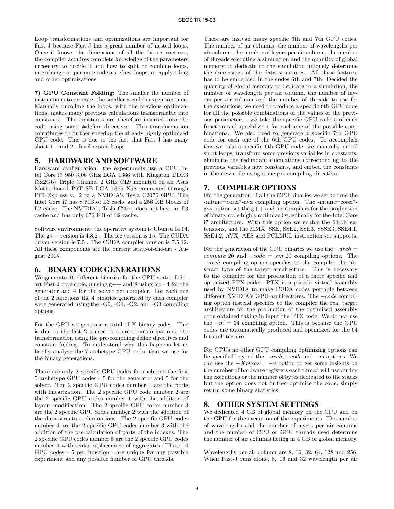Loop transformations and optimizations are important for Fast-J because Fast-J has a great number of nested loops. Once it knows the dimensions of all the data structures, the compiler acquires complete knowledge of the parameters necessary to decide if and how to split or combine loops, interchange or permute indexes, skew loops, or apply tiling and other optimizations.

7) GPU Constant Folding: The smaller the number of instructions to execute, the smaller a code's execution time. Manually unrolling the loops, with the previous optimizations, makes many previous calculations transformable into constants. The constants are therefore inserted into the code using some #define directives. This transformation contributes to further speedup the already highly optimized GPU code. This is due to the fact that Fast-J has many short 1 - and 2 - level nested loops.

#### 5. HARDWARE AND SOFTWARE

Hardware configuration: the experiments use a CPU Intel Core i7 950 3,06 GHz LGA 1366 with Kingston DDR3 (3x2Gb) Triple Channel 2 GHz CL9 mounted on an Asus Motherboard P6T SE LGA 1366 X58 connected through PCI-Express v. 2 to a NVIDIA's Tesla C2070 GPU. The Intel Core i7 has 8 MB of L3 cache and 4 256 KB blocks of L2 cache. The NVIDIA's Tesla C2070 does not have an L3 cache and has only 676 KB of L2 cache.

Software environment: the operative system is Ubuntu 14.04. The  $g++$  version is  $4.8.2$ . The icc version is 15. The CUDA driver version is 7.5 . The CUDA compiler version is 7.5.12. All these components are the current state-of-the-art - August 2015.

#### 6. BINARY CODE GENERATIONS

We generate 16 different binaries for the CPU state-of-theart Fast-J core code, 8 using g++ and 8 using icc - 4 for the generator and 4 for the solver per compiler. For each one of the 2 functions the 4 binaries generated by each compiler were generated using the -O0, -O1, -O2, and -O3 compiling options.

For the GPU we generate a total of X binary codes. This is due to the last 2 source to source transformations, the transformation using the pre-compiling define directives and constant folding. To understand why this happens let us briefly analyze the 7 archetype GPU codes that we use for the binary generations.

There are only 2 specific GPU codes for each one the first 5 archetype GPU codes - 5 for the generator and 5 for the solver. The 2 specific GPU codes number 1 are the ports with linearization. The 2 specific GPU code number 2 are the 2 specific GPU codes number 1 with the addition of layout modification. The 2 specific GPU codes number 3 are the 2 specific GPU codes number 2 with the addition of the data structure eliminations. The 2 specific GPU codes number 4 are the 2 specific GPU codes number 3 with the addition of the pre-calculation of parts of the indexes. The 2 specific GPU codes number 5 are the 2 specific GPU codes number 4 with scalar replacement of aggregates. These 10 GPU codes - 5 per function - are unique for any possible experiment and any possible number of GPU threads.

There are instead many specific 6th and 7th GPU codes. The number of air columns, the number of wavelengths per air column, the number of layers per air column, the number of threads executing a simulation and the quantity of global memory to dedicate to the simulation uniquely determine the dimensions of the data structures. All these features has to be embedded in the codes 6th and 7th. Decided the quantity of global memory to dedicate to a simulation, the number of wavelength per air column, the number of layers per air column and the number of threads to use for the executions, we need to produce a specific 6th GPU code for all the possible combinations of the values of the previous parameters - we take the specific GPU code 5 of each function and specialize it for each one of the possible combinations. We also need to generate a specific 7th GPU code for each one of the 6th GPU codes. To accomplish this we take a specific 6th GPU code, we manually unroll short loops, transform some previous variables in constants, eliminate the redundant calculations corresponding to the previous variables now constants, and embed the constants in the new code using some pre-compiling directives.

#### 7. COMPILER OPTIONS

For the generation of all the CPU binaries we set to true the -mtune=corei7-avx compiling option. The -mtune=corei7 avx option set the  $g$ ++ and icc compilers for the production of binary code highly optimized specifically for the Intel Core i7 architecture. With this option we enable the 64-bit extensions, and the MMX, SSE, SSE2, SSE3, SSSE3, SSE4.1, SSE4.2, AVX, AES and PCLMUL instruction set supports.

For the generation of the GPU binaries we use the  $-arch =$  $compute\_20$  and  $-code = sm\_20$  compiling options. The −arch compiling option specifies to the compiler the abstract type of the target architecture. This is necessary to the compiler for the production of a more specific and optimized PTX code - PTX is a pseudo virtual assembly used by NVIDIA to make CUDA codes portable between different NVIDIA's GPU architectures. The −code compiling option instead specifies to the compiler the real target architecture for the production of the optimized assembly code obtained taking in input the PTX code. We do not use the  $-m = 64$  compiling option. This is because the GPU codes are automatically produced and optimized for the 64 bit architecture.

For GPUs no other GPU compiling optimizing options can be specified beyond the  $-arch$ ,  $-code$  and  $-m$  options. We can use the  $-Xptxas = -v$  option to get some insights on the number of hardware registers each thread will use during the executions or the number of bytes dedicated to the stacks but the option does not further optimize the code, simply return some binary statistics.

#### 8. OTHER SYSTEM SETTINGS

We dedicated 4 GB of global memory on the CPU and on the GPU for the execution of the experiments. The number of wavelengths and the number of layers per air columns and the number of CPU or GPU threads used determine the number of air columns fitting in 4 GB of global memory.

Wavelengths per air column are 8, 16, 32, 64, 128 and 256. When Fast-J runs alone, 8, 16 and 32 wavelength per air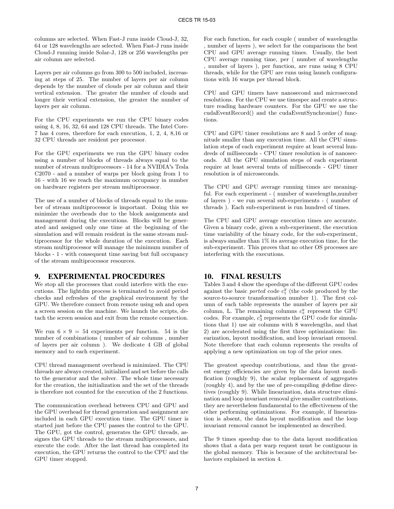columns are selected. When Fast-J runs inside Cloud-J, 32, 64 or 128 wavelengths are selected. When Fast-J runs inside Cloud-J running inside Solar-J, 128 or 256 wavelengths per air column are selected.

Layers per air columns go from 300 to 500 included, increasing at steps of 25. The number of layers per air column depends by the number of clouds per air column and their vertical extension. The greater the number of clouds and longer their vertical extension, the greater the number of layers per air column.

For the CPU experiments we run the CPU binary codes using 4, 8, 16, 32, 64 and 128 CPU threads. The Intel Core-7 has 4 cores, therefore for each execution, 1, 2, 4, 8,16 or 32 CPU threads are resident per processor.

For the GPU experiments we run the GPU binary codes using a number of blocks of threads always equal to the number of stream multiprocessors - 14 for a NVIDIA's Tesla C2070 - and a number of warps per block going from 1 to 16 - with 16 we reach the maximum occupancy in number on hardware registers per stream multiprocessor.

The use of a number of blocks of threads equal to the number of stream multiprocessor is important. Doing this we minimize the overheads due to the block assignments and management during the executions. Blocks will be generated and assigned only one time at the beginning of the simulation and will remain resident in the same stream multiprocessor for the whole duration of the execution. Each stream multiprocessor will manage the minimum number of blocks - 1 - with consequent time saving but full occupancy of the stream multiprocessor resources.

## 9. EXPERIMENTAL PROCEDURES

We stop all the processes that could interfere with the executions. The lightdm process is terminated to avoid period checks and refreshes of the graphical environment by the GPU. We therefore connect from remote using ssh and open a screen session on the machine. We launch the scripts, detach the screen session and exit from the remote connection.

We run  $6 \times 9 = 54$  experiments per function. 54 is the number of combinations ( number of air columns , number of layers per air column ). We dedicate 4 GB of global memory and to each experiment.

CPU thread management overhead is minimized. The CPU threads are always created, initialized and set before the calls to the generator and the solver. The whole time necessary for the creation, the initialization and the set of the threads is therefore not counted for the execution of the 2 functions.

The communication overhead between CPU and GPU and the GPU overhead for thread generation and assignment are included in each GPU execution time. The GPU timer is started just before the CPU passes the control to the GPU. The GPU, got the control, generates the GPU threads, assignes the GPU threads to the stream multiprocessors, and execute the code. After the last thread has completed its execution, the GPU returns the control to the CPU and the GPU timer stopped.

For each function, for each couple ( number of wavelengths , number of layers ), we select for the comparisons the best CPU and GPU average running times. Usually, the best CPU average running time, per ( number of wavelengths , number of layers ), per function, are runs using 8 CPU threads, while for the GPU are runs using launch configurations with 16 warps per thread block.

CPU and GPU timers have nanosecond and microsecond resolutions. For the CPU we use timespec and create a structure reading hardware counters. For the GPU we use the cudaEventRecord() and the cudaEventSynchronize() functions.

CPU and GPU timer resolutions are 8 and 5 order of magnitude smaller than any execution time. All the CPU simulation steps of each experiment require at least several hundreds of milliseconds - CPU timer resolution is of nanoseconds. All the GPU simulation steps of each experiment require at least several tents of milliseconds - GPU timer resolution is of microseconds.

The CPU and GPU average running times are meaningful. For each experiment - ( number of wavelengths,number of layers ) - we run several sub-experiments - ( number of threads ). Each sub-experiment is run hundred of times.

The CPU and GPU average execution times are accurate. Given a binary code, given a sub-experiment, the execution time variability of the binary code, for the sub-experiment, is always smaller than 1% its average execution time, for the sub-experiment. This proves that no other OS processes are interfering with the executions.

## 10. FINAL RESULTS

Tables 3 and 4 show the speedups of the different GPU codes against the basic *ported* code  $c_1^y$  (the code produced by the source-to-source transformation number 1). The first column of each table represents the number of layers per air column, L. The remaining columns  $c_x^y$  represent the GPU codes. For example,  $c_3^8$  represents the GPU code for simulations that 1) use air columns with 8 wavelengths, and that 2) are accelerated using the first three optimizations: linearization, layout modification, and loop invariant removal. Note therefore that each column represents the results of applying a new optimization on top of the prior ones.

The greatest speedup contributions, and thus the greatest energy efficiencies are given by the data layout modification (roughly 9), the scalar replacement of aggregates (roughly 4), and by the use of pre-compiling #define directives (roughly 9). While linearization, data structure elimination and loop invariant removal give smaller contributions, they are nevertheless fundamental to the effectiveness of the other performing optimizations. For example, if linearization is absent, the data layout modification and the loop invariant removal cannot be implemented as described.

The 9 times speedup due to the data layout modification shows that a data per warp request must be contiguous in the global memory. This is because of the architectural behaviors explained in section 4.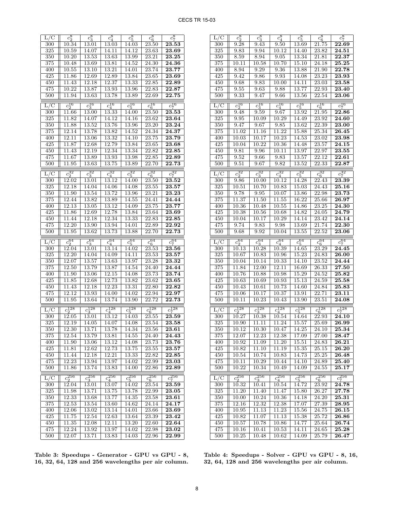| L/C                     | $c_2^8$                        | $c_3^8$                      | $c_4^8$                        | $-c_5^8$                     | $c_6^8$                        | $-c_7^8$                       |
|-------------------------|--------------------------------|------------------------------|--------------------------------|------------------------------|--------------------------------|--------------------------------|
| 300                     | 10.34                          | 13.01                        | 13.03                          | 14.03                        | 23.50                          | 23.53                          |
| 325                     | 10.59                          | 14.07                        | 14.11                          | 14.12                        | 23.63                          | 23.69                          |
| $\overline{350}$        | 10.20                          | 13.53                        | 13.63                          | 13.99                        | 23.21                          | 23.25                          |
| 375                     | 10.48                          | 13.69                        | 13.81                          | 14.52                        | 24.30                          | 24.36                          |
| 400                     | 10.55                          | 13.10                        | 13.21                          | 14.01                        | 23.74                          | 23.77                          |
| 425                     | 11.86                          | 12.69                        | 12.89                          | 13.84                        | 23.65                          | 23.69                          |
| 450                     | 11.43                          | 12.18                        | 12.37                          | 13.33                        | 22.85                          | 22.89                          |
| 475                     | 10.22                          | 13.87                        | 13.93                          | 13.96                        | 22.83                          | 22.87                          |
| 500                     | 11.94                          | 13.63                        | 13.78                          | 13.89                        | 22.69                          | 22.75                          |
| $L/\overline{C}$        | $c_2^{16}$                     | $c_3^{16}$                   | $c_4^{16}$                     | $\frac{16}{c_5^{16}}$        | $\frac{c_6^{16}}{c_6^{16}}$    | $\frac{1}{c_7^{16}}$           |
| 300                     | $11.66\,$                      | 13.00                        | 13.33                          | 14.00                        | 23.50                          | 23.53                          |
| $\overline{325}$        | 11.82                          | 14.07                        | 14.12                          | 14.16                        | 23.62                          | 23.64                          |
| 350                     | 11.88                          | 13.52                        | 13.76                          | 13.96                        | 23.20                          | 23.24                          |
| 375                     | 12.14                          | <b>13.78</b>                 | 13.82                          | 14.52                        | 24.34                          | 24.37                          |
| 400                     | 12.11                          | 13.06                        | 13.32                          | 14.10                        | 23.75                          | 23.79                          |
| 425                     | 11.87                          | 12.68                        | 12.79                          | 13.84                        | 23.65                          | 23.68                          |
| 450                     | 11.43                          | 12.19                        | 12.34                          | 13.34                        | 22.82                          | 22.85                          |
| 475                     | 11.67                          | 13.89                        | 13.93                          | 13.98                        | 22.85                          | 22.89                          |
| 500                     | 11.95                          | 13.63                        | 13.75                          | 13.89                        | 22.70                          | 22.73                          |
|                         |                                |                              |                                |                              |                                |                                |
| L/C                     | $\frac{1}{c_2^{32}}$           | $\frac{1}{\sqrt{3^2}}$       | $\frac{1}{c_4^{32}}$           | $\frac{1}{c_5^{32}}$         | $c_6^{32}$                     | $\frac{1}{\sqrt{c_7^3}}$       |
| $\overline{300}$        | 12.02                          | 13.01                        | 13.12                          | 14.00                        | $\overline{23.50}$             | 23.52                          |
| 325                     | 12.18                          | 14.04                        | 14.06                          | 14.08                        | 23.55                          | 23.57                          |
| 350                     | 11.90                          | 13.54                        | 13.72                          | 13.96                        | 23.21                          | 23.23                          |
| 375                     | 12.44                          | 13.82                        | 13.89                          | 14.55                        | 24.41                          | 24.44                          |
| 400                     | 12.13                          | 13.05                        | 13.12                          | 14.09                        | 23.75                          | 23.77                          |
| 425                     | 11.86                          | 12.69                        | 12.78                          | 13.84                        | 23.64                          | 23.69                          |
| 450                     | 11.44                          | 12.18                        | 12.34                          | 13.33                        | 22.83                          | 22.85                          |
| 475                     | 12.20                          | 13.90                        | 13.94                          | 14.01                        | 22.89                          | 22.92                          |
| 500                     | 11.95                          | 13.62                        | 13.73                          | 13.88                        | 22.70                          | 22.73                          |
|                         |                                |                              |                                |                              |                                |                                |
|                         |                                |                              |                                |                              |                                |                                |
| L/C                     | $c_2^{64}$                     | $c_3^{64}$                   | $c_4^{64}$                     | $c_{5}^{64}$                 | $c_6^{64}$                     | $c_7^{64}$                     |
| 300<br>325              | 12.04<br>12.20                 | 13.01<br>14.04               | 13.14<br>14.09                 | 14.02<br>14.11               | 23.53<br>23.53                 | 23.56<br>23.57                 |
|                         | 12.07                          | 13.57                        | 13.63                          | 13.97                        | 23.28                          |                                |
| $\overline{350}$<br>375 | 12.50                          | 13.79                        | 13.87                          | 14.54                        | 24.40                          | 23.32<br>24.44                 |
| 400                     | 11.90                          | 13.06                        | 12.15                          | 14.08                        | 23.73                          | 23.74                          |
| 425                     | 11.85                          | 12.68                        | 12.73                          | 13.82                        | 23.62                          | 23.65                          |
| 450                     | 11.43                          | 12.18                        | 12.23                          | 13.31                        | 22.80                          | 22.82                          |
| 475                     | 12.12                          | 13.93                        | 14.00                          | 14.02                        |                                | 22.97                          |
| 500                     | 11.95                          | 13.64                        | 13.74                          | 13.90                        | $\overline{22.94}$<br>22.72    | 22.73                          |
|                         |                                |                              |                                |                              |                                |                                |
| L/C                     | $c_2^{128}$                    | $c_3^{128}$                  | $c_4^{128}$                    | $c_5^{128}$                  | $c_6^{128}$                    | $c_7^{128}$                    |
| 300                     | 12.05                          | 13.01                        | 13.12                          | 14.03                        | 23.55                          | 23.59                          |
| 325                     | 12.19                          | 14.05                        | 14.07                          | 14.08                        | 23.54                          | 23.58                          |
| 350                     | 12.30                          | 13.71                        | 13.78                          | 14.34                        | $\overline{23.56}$             | 23.61                          |
| 375                     | 12.54                          | 13.79                        | 13.81                          | 14.55                        | $\overline{24.40}$             | 24.43                          |
| 400                     | 11.90                          | 13.06                        | 13.12                          | 14.08                        | 23.73                          | 23.76                          |
| 425                     | 11.81                          | 12.62                        | 12.73                          | 13.75                        | 23.55                          | 23.57                          |
| 450                     | 11.44                          | 12.18                        | 12.21                          | 13.33                        | 22.82                          | $\overline{22.85}$             |
| 475                     | 12.23                          | 13.94                        | 13.97                          | 14.02                        | 22.99                          | 23.03                          |
| 500                     | 11.86                          | 13.74                        | 13.83                          | 14.00                        | 22.86                          | 22.89                          |
| L/C                     |                                |                              |                                |                              |                                |                                |
| 300                     | $\frac{1}{c_2^{256}}$<br>12.04 | $rac{1}{c_3^{256}}$<br>13.01 | $\frac{1}{c_4^{256}}$<br>13.07 | $rac{1}{c_5^{256}}$<br>14.02 | $\frac{1}{c_6^{256}}$<br>23.54 | $\frac{1}{c_7^{256}}$<br>23.59 |
| $\overline{325}$        | 11.98                          | 13.71                        | 13.75                          | 13.78                        | 22.99                          | 23.05                          |
| 350                     | 12.33                          | 13.68                        | 13.77                          | 14.35                        | 23.58                          | 23.61                          |
| 375                     | 12.53                          | 13.54                        | 13.60                          | 14.62                        | 24.14                          | 24.17                          |
| 400                     | 12.06                          | 13.02                        | 13.14                          | 14.01                        | 23.66                          | 23.69                          |
| 425                     | 11.75                          | 12.54                        | 12.63                          | 13.64                        | 23.39                          | $\overline{23.42}$             |
| 450                     | 11.35                          | 12.08                        | 12.11                          | 13.20                        | 22.60                          | $\overline{22.64}$             |
| 475                     | 12.24                          | 13.92                        | 13.97                          | 14.02                        | 22.98                          | 23.02                          |

| Table 3: Speedups - Generator - GPU vs GPU - 8,     |  |  |
|-----------------------------------------------------|--|--|
| 16, 32, 64, 128 and 256 wavelengths per air column. |  |  |

| L/C                           | $c_2^8$               | $c_3^8$              | $c_4^8$               | $c_5^8$               | $c_6^8$                        | $\frac{c_7^8}{\sqrt{c_7^8}}$   |
|-------------------------------|-----------------------|----------------------|-----------------------|-----------------------|--------------------------------|--------------------------------|
| 300                           | 9.28                  | 9.43                 | 9.50                  | 13.69                 | 21.75                          | 22.69                          |
| 325                           | 9.83                  | 9.94                 | 10.12                 | 14.40                 | 23.82                          | 24.51                          |
| 350                           | 8.59                  | 8.94                 | 9.05                  | 13.34                 | 21.81                          | 22.37                          |
| 375                           | 10.11                 | 10.58                | 10.70                 | 15.10                 | 24.18                          | 25.25                          |
| 400                           | 8.94                  | 9.29                 | 9.36                  | 13.88                 | 21.90                          | 22.78                          |
| 425                           | 9.42                  | 9.86                 | 9.93                  | 14.08                 | 23.23                          | 23.93                          |
| 450                           | 9.68                  | 9.83                 | 10.00                 | 14.11                 | 23.03                          | 23.58                          |
| 475                           | 9.55                  | 9.63                 | 9.88                  | 13.77                 | 22.93                          | 23.40                          |
| 500                           | 9.33                  | 9.47                 | 9.66                  | 13.56                 | 22.54                          | 23.06                          |
| $L/\overline{C}$              | $\overline{c_2^{16}}$ | $c_3^{16}$           | $\frac{1}{c_4^{16}}$  | $\frac{1}{c_5^{16}}$  | $\frac{c_6^{16}}{c_6^{16}}$    | $\frac{1}{c_7^{16}}$           |
| 300                           | 9.48                  | 9.59                 | 9.67                  | 13.92                 | $\overline{21.95}$             | 22.86                          |
| $\overline{325}$              | $9.95\,$              | 10.09                | 10.29                 | 14.49                 | 23.92                          | 24.60                          |
| 350                           | 9.47                  | 9.67                 | 9.85                  | 13.62                 | 22.39                          | 23.00                          |
| 375                           | 11.02                 | 11.16                | 11.22                 | 15.88                 | 25.34                          | 26.45                          |
| 400                           | 10.03                 | 10.17                | 10.23                 | 14.53                 | 23.02                          | 23.98                          |
| 425                           | 10.04                 | 10.22                | 10.36                 | 14.48                 | 23.57                          | 24.15                          |
| 450                           | 9.81                  | 9.96                 | 10.11                 | 13.97                 | 22.97                          | 23.55                          |
| 475                           | 9.52                  | 9.66                 | 9.83                  | 13.57                 | 22.12                          | 22.61                          |
| 500                           | 9.51                  | 9.67                 | 9.82                  | 13.52                 | 22.33                          | 22.87                          |
|                               |                       |                      |                       |                       |                                |                                |
| L/C                           | $c_2^{32}$            | $\frac{1}{c_3^{32}}$ | $c_4^{32}$            | $c_5^{32}$            | $c_6^{32}$                     | $\frac{c_7^{32}}{c_7^{32}}$    |
| 300                           | 9.86                  | $10.00\,$            | 10.12                 | 14.28                 | 22.43                          | 23.39                          |
| 325                           | 10.51                 | 10.70                | 10.83                 | 15.03                 | 24.43                          | 25.16                          |
| 350                           | 9.78                  | 9.95                 | 10.07                 | 13.86                 | 22.98                          | 23.73                          |
| 375                           | 11.37                 | 11.50                | 11.55                 | 16.22                 | 25.66                          | 26.97                          |
| 400                           | 10.36                 | $10.48\,$            | 10.55                 | 14.86                 | 23.25                          | 24.30                          |
| 425                           | 10.38                 | $10.56\,$            | 10.68                 | 14.82                 | 24.05                          | 24.79                          |
| 450                           | 10.04                 | $10.17\,$            | 10.29                 | 14.14                 | 23.42                          | 24.14                          |
| 475                           | 9.74                  | 9.83                 | 9.98                  | 13.69                 | 21.74                          | 22.30                          |
| 500                           | 9.68                  | 9.92                 | 10.04                 | 13.55                 | 22.52                          | 23.06                          |
|                               |                       |                      |                       |                       |                                |                                |
| $_{\rm L/C}$                  |                       |                      |                       |                       |                                |                                |
| 300                           | $c_2^{64}$<br>10.13   | $c_3^{64}$<br>10.28  | $c_4^{64}$<br>10.39   | $c_{5}^{64}$<br>14.65 | $c_6^{64}$<br>23.29            | $c_7^{64}$<br>24.45            |
| $\overline{325}$              | 10.67                 | 10.83                | 10.96                 | 15.23                 | 24.83                          | 26.00                          |
| 350                           | 10.04                 | 10.14                | 10.33                 | 14.10                 | 23.52                          | 24.44                          |
| 375                           | 11.84                 | 12.00                | 12.11                 | 16.69                 | 26.33                          | 27.50                          |
| 400                           | 10.76                 | 10.88                | 10.98                 | 15.29                 | 24.52                          | 25.82                          |
| 425                           | 10.63                 | 10.69                | 10.93                 | 15.13                 | 24.59                          | 25.58                          |
| 450                           | 10.43                 | 10.61                | 10.73                 | 14.60                 | 24.84                          | 25.83                          |
| 475                           | 10.06                 | 10.17                | 10.37                 | 13.91                 | 22.71                          | $\overline{2}3.11$             |
| 500                           | 10.11                 | 10.23                | 10.43                 | 13.90                 | 23.51                          | 24.08                          |
|                               |                       |                      |                       |                       |                                |                                |
| $\mathrm{L}/\mathrm{\bar{C}}$ | $c_2^{128}$           | $c_3^{128}$          | $c_{4}^{128}$         | $c_5^{128}$           | $c_6^{128}$                    | $c_7^{128}$                    |
| 300                           | 10.27                 | 10.38                | 10.54                 | 14.64                 | 22.93                          | $\overline{24.10}$             |
| $\overline{325}$              | 10.90                 | $11.11\,$            | 11.24                 | 15.57                 | 25.69                          | $\overline{26.99}$             |
| 350                           | 10.12                 | 10.30                | 10.47                 | 14.25                 | $\overline{24.1}0$             | 25.34                          |
| 375                           | 12.07                 | 12.23                | 12.38                 | 17.09                 | 27.00                          | 28.47                          |
| 400                           | 10.92                 | 11.09                | 11.20                 | 15.51                 | 24.83                          | 26.21                          |
| 425                           | 10.82                 | 11.10                | 11.19                 | 15.35                 | 25.15                          | 26.20                          |
| 450                           | 10.54                 | 10.74                | 10.83                 | 14.73                 | 25.25                          | 26.48                          |
| 475<br>500                    | 10.11                 | 10.29                | 10.44<br>10.49        | 14.10                 | 24.89                          | 25.40                          |
|                               | 10.22                 | 10.34                |                       | 14.09                 | 24.55                          | $\bf 25.17$                    |
| L/C                           | $\frac{1}{c_2^{256}}$ | $c_3^{256}$          | $\frac{1}{c_4^{256}}$ | $\frac{1}{c_5^{256}}$ |                                |                                |
| 300                           | 10.32                 | 10.41                | 10.54                 | 14.72                 | $\frac{1}{c_6^{256}}$<br>23.92 | $\frac{1}{c_7^{256}}$<br>24.78 |
| 325                           | 11.20                 | 11.40                | 11.47                 | 15.80                 | 26.27                          | 27.78                          |
| 350                           | 10.00                 | 10.24                | 10.36                 | 14.18                 | 24.20                          | 25.31                          |
| 375                           | 12.16                 | 12.32                | 12.38                 | 17.07                 | $27.\overline{39}$             | 28.95                          |
| 400                           | 10.95                 | 11.13                | 11.23                 | 15.56                 | 24.75                          | $\bf 26.15$                    |
| 425                           | 10.82                 | 11.07                | 11.13                 | 15.38                 | 25.72                          | 26.86                          |
| 450                           | $10.57\,$             | 10.78                | 10.86                 | 14.77                 | 25.64                          | 26.74                          |
| 475<br>500                    | 10.16<br>10.25        | 10.41<br>10.48       | 10.53<br>10.62        | 14.11<br>14.09        | 24.65<br>25.79                 | 25.28<br>26.47                 |

Table 4: Speedups - Solver - GPU vs GPU - 8, 16, 32, 64, 128 and 256 wavelengths per air column.

 $L/C$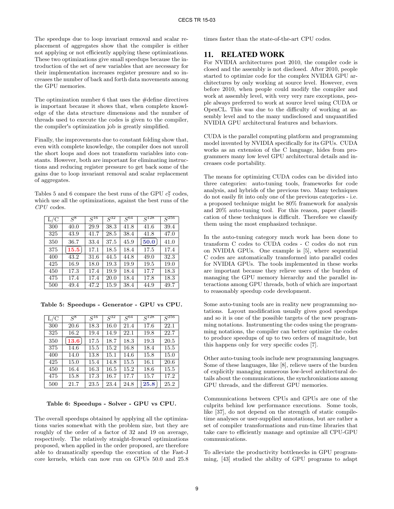The speedups due to loop invariant removal and scalar replacement of aggregates show that the compiler is either not applying or not efficiently applying these optimizations. These two optimizations give small speedups because the introduction of the set of new variables that are necessary for their implementation increases register pressure and so increases the number of back and forth data movements among the GPU memories.

The optimization number 6 that uses the #define directives is important because it shows that, when complete knowledge of the data structure dimensions and the number of threads used to execute the codes is given to the compiler, the compiler's optimization job is greatly simplified.

Finally, the improvements due to constant folding show that, even with complete knowledge, the compiler does not unroll the short loops and does not transform variables into constants. However, both are important for eliminating instructions and reducing register pressure to get back some of the gains due to loop invariant removal and scalar replacement of aggregates.

Tables 5 and 6 compare the best runs of the GPU  $c_7^y$  codes, which use all the optimizations, against the best runs of the CPU codes.

| L/C | $S^8$ | $S^{16}$ | $\overline{S^{32}}$ | $S^{64}$ | $S^{128}$ | $\bar{S}^{256}$ |
|-----|-------|----------|---------------------|----------|-----------|-----------------|
| 300 | 40.0  | 29.9     | 38.3                | 41.8     | 41.6      | 39.4            |
| 325 | 43.9  | 41.7     | 28.5                | 38.4     | 41.8      | 47.0            |
| 350 | 36.7  | 33.4     | 37.5                | 45.9     | 50.0      | 41.0            |
| 375 | 15.5  | 17.1     | 18.5                | 18.4     | 17.5      | 17.4            |
| 400 | 43.2  | 31.6     | 44.5                | 44.8     | 49.0      | 32.3            |
| 425 | 16.9  | 18.0     | 19.3                | 19.9     | 19.5      | 19.0            |
| 450 | 17.3  | 17.4     | 19.9                | 18.4     | 17.7      | 18.3            |
| 475 | 17.4  | 17.4     | 20.0                | 18.4     | 17.8      | 18.3            |
| 500 | 49.4  | 47.2     | 15.9                | 38.4     | 44.9      | 49.7            |

Table 5: Speedups - Generator - GPU vs CPU.

| L/C | $S^8$ | $S^{16}$ | $S^{32}$ | $S^{64}$ | $S^{128}$ | $S^{256}$ |
|-----|-------|----------|----------|----------|-----------|-----------|
| 300 | 20.6  | 18.3     | 16.0     | 21.4     | 17.6      | 22.1      |
| 325 | 16.2  | 19.4     | 14.9     | 22.1     | 19.8      | 22.7      |
| 350 | 13.6  | 17.5     | 18.7     | 18.3     | 19.3      | 20.5      |
| 375 | 14.6  | 15.5     | 15.2     | 16.8     | 18.4      | 15.5      |
| 400 | 14.0  | 13.8     | 15.1     | 14.6     | 15.8      | 15.0      |
| 425 | 15.0  | 15.4     | 14.8     | 15.5     | 16.1      | 20.6      |
| 450 | 16.4  | 16.3     | 16.5     | 15.2     | 18.6      | 15.5      |
| 475 | 15.8  | 17.3     | 16.7     | 17.7     | 15.7      | 17.2      |
| 500 | 21.7  | 23.5     | 23.4     | 24.8     | 25.8      | 25.2      |

#### Table 6: Speedups - Solver - GPU vs CPU.

The overall speedups obtained by applying all the optimizations varies somewhat with the problem size, but they are roughly of the order of a factor of 32 and 19 on average, respectively. The relatively straight-froward optimizations proposed, when applied in the order proposed, are therefore able to dramatically speedup the execution of the Fast-J core kernels, which can now run on GPUs 50.0 and 25.8 times faster than the state-of-the-art CPU codes.

#### 11. RELATED WORK

For NVIDIA architectures post 2010, the compiler code is closed and the assembly is not disclosed. After 2010, people started to optimize code for the complex NVIDIA GPU architectures by only working at source level. However, even before 2010, when people could modify the compiler and work at assembly level, with very very rare exceptions, people always preferred to work at source level using CUDA or OpenCL. This was due to the difficulty of working at assembly level and to the many undisclosed and unquantified NVIDIA GPU architectural features and behaviors.

CUDA is the parallel computing platform and programming model invented by NVIDIA specifically for its GPUs. CUDA works as an extension of the C language, hides from programmers many low level GPU architectural details and increases code portability.

The means for optimizing CUDA codes can be divided into three categories: auto-tuning tools, frameworks for code analysis, and hybrids of the previous two. Many techniques do not easily fit into only one of the previous categories - i.e. a proposed technique might be 80% framework for analysis and 20% auto-tuning tool. For this reason, paper classification of these techniques is difficult. Therefore we classify them using the most emphasized technique.

In the auto-tuning category much work has been done to transform C codes to CUDA codes - C codes do not run on NVIDIA GPUs. One example is [5], where sequential C codes are automatically transformed into parallel codes for NVIDIA GPUs. The tools implemented in these works are important because they relieve users of the burden of managing the GPU memory hierarchy and the parallel interactions among GPU threads, both of which are important to reasonably speedup code development.

Some auto-tuning tools are in reality new programming notations. Layout modification usually gives good speedups and so it is one of the possible targets of the new programming notations. Instrumenting the codes using the programming notations, the compiler can better optimize the codes to produce speedups of up to two orders of magnitude, but this happens only for very specific codes [7].

Other auto-tuning tools include new programming languages. Some of these languages, like [8], relieve users of the burden of explicitly managing numerous low-level architectural details about the communications, the synchronizations among GPU threads, and the different GPU memories.

Communications between CPUs and GPUs are one of the culprits behind low performance executions. Some tools, like [37], do not depend on the strength of static compiletime analyses or user-supplied annotations, but are rather a set of compiler transformations and run-time libraries that take care to efficiently manage and optimize all CPU-GPU communications.

To alleviate the productivity bottlenecks in GPU programming, [43] studied the ability of GPU programs to adapt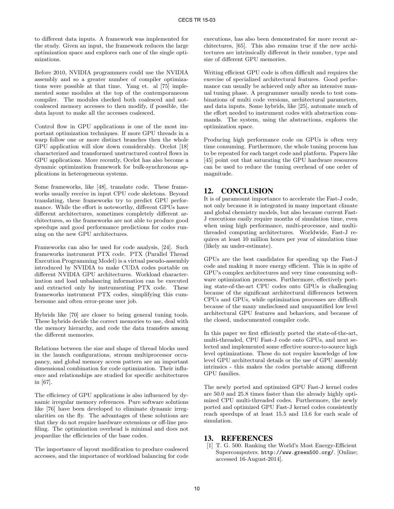to different data inputs. A framework was implemented for the study. Given an input, the framework reduces the large optimization space and explores each one of the single optimizations.

Before 2010, NVIDIA programmers could use the NVIDIA assembly and so a greater number of compiler optimizations were possible at that time. Yang et. al [75] implemented some modules at the top of the contemporaneous compiler. The modules checked both coalesced and notcoalesced memory accesses to then modify, if possible, the data layout to make all the accesses coalesced.

Control flow in GPU applications is one of the most important optimization techniques. If more GPU threads in a warp follow one or more distinct branches then the whole GPU application will slow down considerably. Ocelot [18] characterized and transformed unstructured control flows in GPU applications. More recently, Ocelot has also become a dynamic optimization framework for bulk-synchronous applications in heterogeneous systems.

Some frameworks, like [48], translate code. These frameworks usually receive in input CPU code skeletons. Beyond translating, these frameworks try to predict GPU performance. While the effort is noteworthy, different GPUs have different architectures, sometimes completely different architectures, so the frameworks are not able to produce good speedups and good performance predictions for codes running on the new GPU architectures.

Frameworks can also be used for code analysis, [24]. Such frameworks instrument PTX code. PTX (Parallel Thread Execution Programming Model) is a virtual pseudo-assembly introduced by NVIDIA to make CUDA codes portable on different NVIDIA GPU architectures. Workload characterization and load unbalancing information can be executed and extracted only by instrumenting PTX code. These frameworks instrument PTX codes, simplifying this cumbersome and often error-prone user job.

Hybrids like [70] are closer to being general tuning tools. These hybrids decide the correct memories to use, deal with the memory hierarchy, and code the data transfers among the different memories.

Relations between the size and shape of thread blocks used in the launch configurations, stream multiprocessor occupancy, and global memory access pattern are an important dimensional combination for code optimization. Their influence and relationships are studied for specific architectures in [67].

The efficiency of GPU applications is also influenced by dynamic irregular memory references. Pure software solutions like [76] have been developed to eliminate dynamic irregularities on the fly. The advantages of these solutions are that they do not require hardware extensions or off-line profiling. The optimization overhead is minimal and does not jeopardize the efficiencies of the base codes.

The importance of layout modification to produce coalesced accesses, and the importance of workload balancing for code executions, has also been demonstrated for more recent architectures, [65]. This also remains true if the new architectures are intrinsically different in their number, type and size of different GPU memories.

Writing efficient GPU code is often difficult and requires the exercise of specialized architectural features. Good performance can usually be achieved only after an intensive manual tuning phase. A programmer usually needs to test combinations of multi code versions, architectural parameters, and data inputs. Some hybrids, like [25], automate much of the effort needed to instrument codes with abstraction commands. The system, using the abstractions, explores the optimization space.

Producing high performance code on GPUs is often very time consuming. Furthermore, the whole tuning process has to be repeated for each target code and platform. Papers like [45] point out that saturating the GPU hardware resources can be used to reduce the tuning overhead of one order of magnitude.

## 12. CONCLUSION

It is of paramount importance to accelerate the Fast-J code, not only because it is integrated in many important climate and global chemistry models, but also because current Fast-J executions easily require months of simulation time, even when using high performance, multi-processor, and multithreaded computing architectures. Worldwide, Fast-J requires at least 10 million hours per year of simulation time (likely an under-estimate).

GPUs are the best candidates for speeding up the Fast-J code and making it more energy efficient. This is in spite of GPU's complex architectures and very time consuming software optimization processes. Furthermore, effectively porting state-of-the-art CPU codes onto GPUs is challenging because of the significant architectural differences between CPUs and GPUs, while optimization processes are difficult because of the many undisclosed and unquantified low level architectural GPU features and behaviors, and because of the closed, undocumented compiler code.

In this paper we first efficiently ported the state-of-the-art, multi-threaded, CPU Fast-J code onto GPUs, and next selected and implemented some effective source-to-source high level optimizations. These do not require knowledge of low level GPU architectural details or the use of GPU assembly intrinsics - this makes the codes portable among different GPU families.

The newly ported and optimized GPU Fast-J kernel codes are 50.0 and 25.8 times faster than the already highly optimized CPU multi-threaded codes. Furthermore, the newly ported and optimized GPU Fast-J kernel codes consistently reach speedups of at least 15.5 and 13.6 for each scale of simulation.

## 13. REFERENCES

[1] T. G. 500. Ranking the World's Most Energy-Efficient Supercomputers. http://www.green500.org/. [Online; accessed 16-August-2014].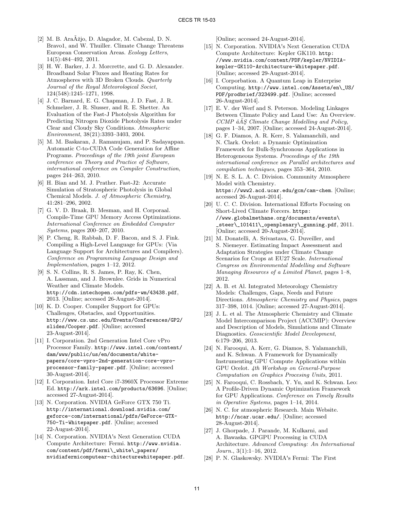- [2] M. B. Ara $\tilde{A}$ žjo, D. Alagador, M. Cabezal, D. N. Bravo1, and W. Thuiller. Climate Change Threatens European Conservation Areas. Ecology Letters, 14(5):484–492, 2011.
- [3] H. W. Barker, J. J. Morcrette, and G. D. Alexander. Broadband Solar Fluxes and Heating Rates for Atmospheres with 3D Broken Clouds. Quarterly Journal of the Royal Meteorological Societ, 124(548):1245–1271, 1998.
- [4] J. C. Barnard, E. G. Chapman, J. D. Fast, J. R. Schmelzer, J. R. Slusser, and R. E. Shetter. An Evaluation of the Fast-J Photolysis Algorithm for Predicting Nitrogen Dioxide Photolysis Rates under Clear and Cloudy Sky Conditions. Atmospheric Environment, 38(21):3393–3403, 2004.
- [5] M. M. Baskaran, J. Ramanujam, and P. Sadayappan. Automatic C-to-CUDA Code Generation for Affine Programs. Proceedings of the 19th joint European conference on Theory and Practice of Software, international conference on Compiler Construction, pages 244–263, 2010.
- [6] H. Bian and M. J. Prather. Fast-J2: Accurate Simulation of Stratospheric Photolysis in Global Chemical Models. J. of Atmospheric Chemistry, 41:281–296, 2002.
- [7] G. V. D. Braak, B. Mesman, and H. Corporaal. Compile-Time GPU Memory Access Optimizations. International Conference on Embedded Computer Systems, pages 200–207, 2010.
- [8] P. Cheng, R. Rabbah, D. F. Bacon, and S. J. Fink. Compiling a High-Level Language for GPUs: (Via Language Support for Architectures and Compilers). Conference on Programming Language Design and Implementation, pages 1–12, 2012.
- [9] S. N. Collins, R. S. James, P. Ray, K. Chen, A. Lassman, and J. Brownlee. Grids in Numerical Weather and Climate Models. http://cdn.intechopen.com/pdfs-wm/43438.pdf, 2013. [Online; accessed 26-August-2014].
- [10] K. D. Cooper. Compiler Support for GPUs: Challenges, Obstacles, and Opportunities. http://www.cs.unc.edu/Events/Conferences/GP2/ slides/Cooper.pdf. [Online; accessed 23-August-2014].
- [11] I. Corporation. 2nd Generation Intel Core vPro Processor Family. http://www.intel.com/content/ dam/www/public/us/en/documents/whitepapers/core-vpro-2nd-generation-core-vproprocessor-family-paper.pdf. [Online; accessed 30-August-2014].
- [12] I. Corporation. Intel Core i7-3960X Processor Extreme Ed. http://ark.intel.com/products/63696. [Online; accessed 27-August-2014].
- [13] N. Corporation. NVIDIA GeForce GTX 750 Ti. http://international.download.nvidia.com/ geforce-com/international/pdfs/GeForce-GTX-750-Ti-Whitepaper.pdf. [Online; accessed 22-August-2014].
- [14] N. Corporation. NVIDIA's Next Generation CUDA Compute Architecture: Fermi. http://www.nvidia. com/content/pdf/fermi\\_white\\_papers/ nvidiafermicomputear-chitecturewhitepaper.pdf.

[Online; accessed 24-August-2014].

- [15] N. Corporation. NVIDIA's Next Generation CUDA Compute Architecture: Kepler GK110. http: //www.nvidia.com/content/PDF/kepler/NVIDIAkepler-GK110-Architecture-Whitepaper.pdf. [Online; accessed 29-August-2014].
- [16] I. Corporbation. A Quantum Leap in Enterprise Computing. http://www.intel.com/Assets/en\\_US/ PDF/prodbrief/323499.pdf. [Online; accessed 26-August-2014].
- [17] E. V. der Werf and S. Peterson. Modeling Linkages Between Climate Policy and Land Use: An Overview.  $CCMP$   $\hat{a} \hat{A} S$  Climate Change Modelling and Policy, pages 1–34, 2007. [Online; accessed 24-August-2014].
- [18] G. F. Diamos, A. R. Kerr, S. Yalamanchili, and N. Clark. Ocelot: a Dynamic Optimization Framework for Bulk-Synchronous Applications in Heterogeneous Systems. Proceedings of the 19th international conference on Parallel architectures and compilation techniques, pages 353–364, 2010.
- [19] N. E. S. L. A. C. Division. Community Atmosphere Model with Chemistry. https://www2.acd.ucar.edu/gcm/cam-chem. [Online; accessed 26-August-2014].
- [20] U. C. C. Division. International Efforts Focusing on Short-Lived Climate Forcers. https: //www.globalmethane.org/documents/events\  ${\sf \_steer}\$  $101411\$   ${\sf \_openplanary}\$   ${\sf \_gunning.pdf},$   $2011.$ [Online; accessed 20-August-2014].
- [21] M. Donatelli, A. Srivastava, G. Duveiller, and S. Niemeyer. Estimating Impact Assessment and Adaptation Strategies under Climate Change Scenarios for Crops at EU27 Scale. International Congress on Environmental Modelling and Software Managing Resources of a Limited Planet, pages 1–8, 2012.
- [22] A. B. et Al. Integrated Meteorology Chemistry Models: Challenges, Gaps, Needs and Future Directions. Atmospheric Chemistry and Physics, pages 317–398, 1014. [Online; accessed 27-August-2014].
- [23] J. L. et al. The Atmospheric Chemistry and Climate Model Intercomparison Project (ACCMIP): Overview and Description of Models, Simulations and Climate Diagnostics. Geoscientific Model Development, 6:179–206, 2013.
- [24] N. Farooqui, A. Kerr, G. Diamos, S. Yalamanchili, and K. Schwan. A Framework for Dynamically Instrumenting GPU Compute Applications within GPU Ocelot. 4th Workshop on General-Purpose Computation on Graphics Procesing Units, 2011.
- [25] N. Farooqui, C. Rossbach, Y. Yu, and K. Schwan. Leo: A Profile-Driven Dynamic Optimization Framework for GPU Applications. Conference on Timely Results in Operative Systems, pages 1–14, 2014.
- [26] N. C. for atmospheric Research. Main Website. http://ncar.ucar.edu/. [Online; accessed 28-August-2014].
- [27] J. Ghorpade, J. Parande, M. Kulkarni, and A. Bawaska. GPGPU Processing in CUDA Architecture. Advanced Computing: An International  $Journal.$ , 3(1):1–16, 2012.
- [28] P. N. Glaskowsky. NVIDIA's Fermi: The First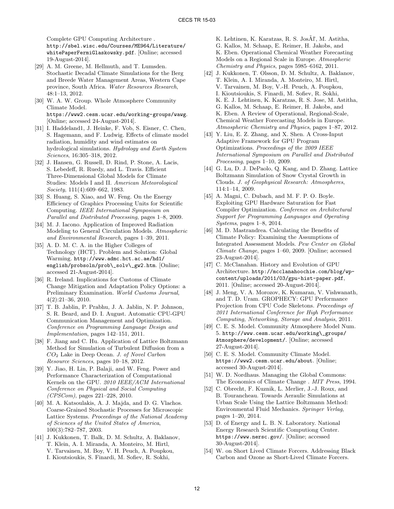Complete GPU Computing Architecture . http://sbel.wisc.edu/Courses/ME964/Literature/

whitePaperFermiGlaskowsky.pdf. [Online; accessed 19-August-2014].

- [29] A. M. Greene, M. Hellmuth, and T. Lumsden. Stochastic Decadal Climate Simulations for the Berg and Breede Water Management Areas, Western Cape province, South Africa. Water Resources Research, 48:1–13, 2012.
- [30] W. A. W. Group. Whole Atmosphere Community Climate Model. https://www2.cesm.ucar.edu/working-groups/wawg. [Online; accessed 24-August-2014].
- [31] I. Haddeland1, J. Heinke, F. Vob, S. Eisner, C. Chen, S. Hagemann, and F. Ludwig. Effects of climate model radiation, humidity and wind estimates on hydrological simulations. Hydrology and Earth System Sciences, 16:305–318, 2012.
- [32] J. Hansen, G. Russell, D. Rind, P. Stone, A. Lacis, S. Lebedeff, R. Ruedy, and L. Travis. Efficient Three-Dimensional Global Models for Climate Studies: Models I and II. American Meteorological Society, 111(4):609–662, 1983.
- [33] S. Huang, S. Xiao, and W. Feng. On the Energy Efficiency of Graphics Processing Units for Scientific Computing. IEEE International Symposium on Parallel and Distributed Processing, pages 1–8, 2009.
- [34] M. J. Iacono. Application of Improved Radiation Modeling to General Circulation Models. Atmospheric and Environmental Research, pages 1–39, 2011.
- [35] A. D. M. C. A. in the Higher Colleges of Technology (HCT). Problem and Solution: Global Warming. http://www.admc.hct.ac.ae/hd1/ english/probsoln/prob\\_solv\\_gw2.htm. [Online; accessed 21-August-2014].
- [36] R. Ireland. Implications for Customs of Climate Change Mitigation and Adaptation Policy Options: a Preliminary Examination. World Customs Journal, 4(2):21–36, 2010.
- [37] T. B. Jablin, P. Prabhu, J. A. Jablin, N. P. Johnson, S. R. Beard, and D. I. August. Automatic CPU-GPU Communication Management and Optimization. Conference on Programming Language Design and Implementation, pages 142–151, 2011.
- [38] F. Jiang and C. Hu. Application of Lattice Boltzmann Method for Simulation of Turbulent Diffusion from a CO<sup>2</sup> Lake in Deep Ocean. J. of Novel Carbon Resource Sciences, pages 10–18, 2012.
- [39] Y. Jiao, H. Lin, P. Balaji, and W. Feng. Power and Performance Characterization of Computational Kernels on the GPU. 2010 IEEE/ACM International Conference on Physical and Social Computing (CPSCom), pages 221–228, 2010.
- [40] M. A. Katsoulakis, A. J. Majda, and D. G. Vlachos. Coarse-Grained Stochastic Processes for Microscopic Lattice Systems. Proceedings of the National Academy of Sciences of the United States of America, 100(3):782–787, 2003.
- [41] J. Kukkonen, T. Balk, D. M. Schultz, A. Baklanov, T. Klein, A. I. Miranda, A. Monteiro, M. Hirtl, V. Tarvainen, M. Boy, V. H. Peuch, A. Poupkou, I. Kioutsioukis, S. Finardi, M. Sofiev, R. Sokhi,

K. Lehtinen, K. Karatzas, R. S. JosAl', M. Astitha, G. Kallos, M. Schaap, E. Reimer, H. Jakobs, and K. Eben. Operational Chemical Weather Forecasting Models on a Regional Scale in Europe. Atmospheric Chemistry and Physics, pages 5985–6162, 2011.

- [42] J. Kukkonen, T. Olsson, D. M. Schultz, A. Baklanov, T. Klein, A. I. Miranda, A. Monteiro, M. Hirtl, V. Tarvainen, M. Boy, V.-H. Peuch, A. Poupkou, I. Kioutsioukis, S. Finardi, M. Sofiev, R. Sokhi, K. E. J. Lehtinen, K. Karatzas, R. S. Jose, M. Astitha, G. Kallos, M. Schaap, E. Reimer, H. Jakobs, and K. Eben. A Review of Operational, Regional-Scale, Chemical Weather Forecasting Models in Europe. Atmospheric Chemistry and Physics, pages 1–87, 2012.
- [43] Y. Liu, E. Z. Zhang, and X. Shen. A Cross-Input Adaptive Framework for GPU Program Optimizations. Proceedings of the 2009 IEEE International Symposium on Parallel and Distributed Processing, pages 1–10, 2009.
- [44] G. Lu, D. J. DePaolo, Q. Kang, and D. Zhang. Lattice Boltzmann Simulation of Snow Crystal Growth in Clouds. J. of Geophysical Research: Atmospheres, 114:1–14, 2009.
- [45] A. Magni, C. Dubach, and M. F. P. O. Boyle. Exploiting GPU Hardware Saturation for Fast Compiler Optimization. Conference on Architectural Support for Programming Languages and Operating  $Systems, pages 1–8, 2014.$
- [46] M. D. Mastrandrea. Calculating the Benefits of Climate Policy: Examining the Assumptions of Integrated Assessment Models. Pew Center on Global Climate Change, pages 1–60, 2009. [Online; accessed 23-August-2014].
- [47] C. McClanahan. History and Evolution of GPU Architecture. http://mcclanahoochie.com/blog/wpcontent/uploads/2011/03/gpu-hist-paper.pdf, 2011. [Online; accessed 20-August-2014].
- [48] J. Meng, V. A. Morozov, K. Kumaran, V. Vishwanath, and T. D. Uram. GROPHECY: GPU Performance Projection from CPU Code Skeletons. Proceedings of 2011 International Conference for High Performance Computing, Networking, Storage and Analysis, 2011.
- [49] C. E. S. Model. Community Atmosphere Model Num. 5. http://www.cesm.ucar.edu/working\\_groups/ Atmosphere/development/. [Online; accessed 27-August-2014].
- [50] C. E. S. Model. Community Climate Model. https://www2.cesm.ucar.edu/about. [Online; accessed 30-August-2014].
- [51] W. D. Nordhaus. Managing the Global Commons: The Economics of Climate Change . MIT Press, 1994.
- [52] C. Obrecht, F. Kuznik, L. Merlier, J.-J. Roux, and B. Tourancheau. Towards Aeraulic Simulations at Urban Scale Using the Lattice Boltzmann Method: Environmental Fluid Mechanics. Springer Verlag, pages 1–20, 2014.
- [53] D. of Energy and L. B. N. Laboratory. National Energy Research Scientific Computiong Center. https://www.nersc.gov/. [Online; accessed 30-August-2014].
- [54] W. on Short Lived Climate Forcers. Addressing Black Carbon and Ozone as Short-Lived Climate Forcers.